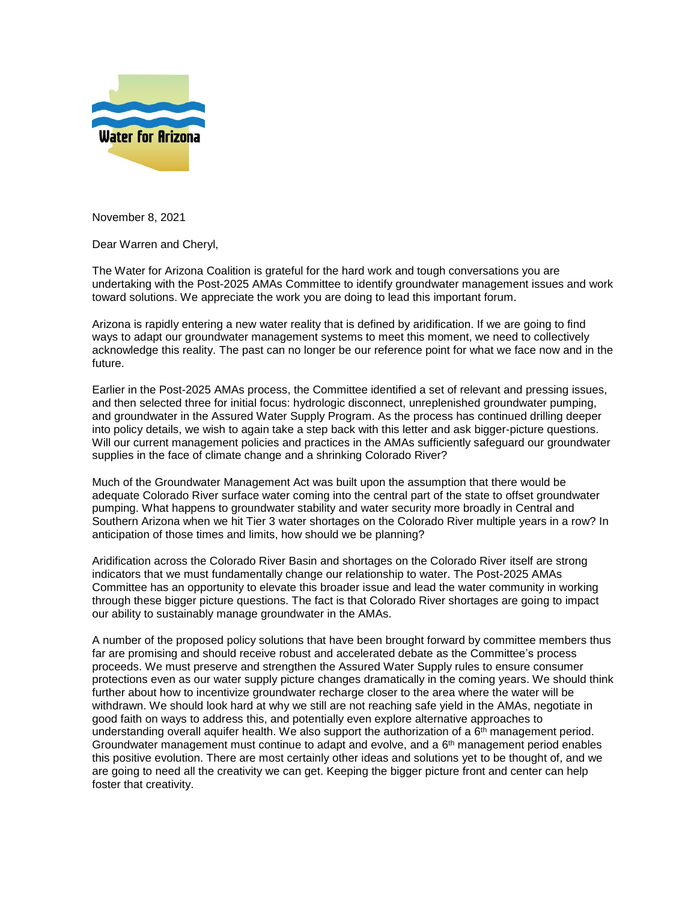

November 8, 2021

Dear Warren and Cheryl,

The Water for Arizona Coalition is grateful for the hard work and tough conversations you are undertaking with the Post-2025 AMAs Committee to identify groundwater management issues and work toward solutions. We appreciate the work you are doing to lead this important forum.

Arizona is rapidly entering a new water reality that is defined by aridification. If we are going to find ways to adapt our groundwater management systems to meet this moment, we need to collectively acknowledge this reality. The past can no longer be our reference point for what we face now and in the future.

Earlier in the Post-2025 AMAs process, the Committee identified a set of relevant and pressing issues, and then selected three for initial focus: hydrologic disconnect, unreplenished groundwater pumping, and groundwater in the Assured Water Supply Program. As the process has continued drilling deeper into policy details, we wish to again take a step back with this letter and ask bigger-picture questions. Will our current management policies and practices in the AMAs sufficiently safeguard our groundwater supplies in the face of climate change and a shrinking Colorado River?

Much of the Groundwater Management Act was built upon the assumption that there would be adequate Colorado River surface water coming into the central part of the state to offset groundwater pumping. What happens to groundwater stability and water security more broadly in Central and Southern Arizona when we hit Tier 3 water shortages on the Colorado River multiple years in a row? In anticipation of those times and limits, how should we be planning?

Aridification across the Colorado River Basin and shortages on the Colorado River itself are strong indicators that we must fundamentally change our relationship to water. The Post-2025 AMAs Committee has an opportunity to elevate this broader issue and lead the water community in working through these bigger picture questions. The fact is that Colorado River shortages are going to impact our ability to sustainably manage groundwater in the AMAs.

A number of the proposed policy solutions that have been brought forward by committee members thus far are promising and should receive robust and accelerated debate as the Committee's process proceeds. We must preserve and strengthen the Assured Water Supply rules to ensure consumer protections even as our water supply picture changes dramatically in the coming years. We should think further about how to incentivize groundwater recharge closer to the area where the water will be withdrawn. We should look hard at why we still are not reaching safe yield in the AMAs, negotiate in good faith on ways to address this, and potentially even explore alternative approaches to understanding overall aquifer health. We also support the authorization of a  $6<sup>th</sup>$  management period. Groundwater management must continue to adapt and evolve, and a 6<sup>th</sup> management period enables this positive evolution. There are most certainly other ideas and solutions yet to be thought of, and we are going to need all the creativity we can get. Keeping the bigger picture front and center can help foster that creativity.